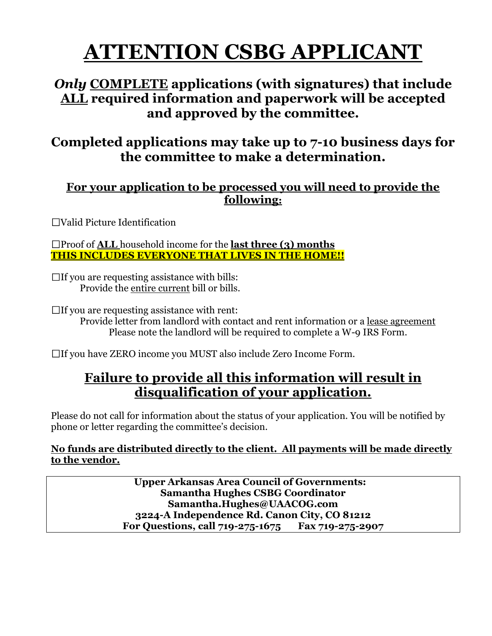# **ATTENTION CSBG APPLICANT**

## *Only* **COMPLETE applications (with signatures) that include ALL required information and paperwork will be accepted and approved by the committee.**

## **Completed applications may take up to 7-10 business days for the committee to make a determination.**

## **For your application to be processed you will need to provide the following:**

Valid Picture Identification

Proof of **ALL** household income for the **last three (3) months THIS INCLUDES EVERYONE THAT LIVES IN THE HOME!!**

 $\Box$  If you are requesting assistance with bills: Provide the entire current bill or bills.

 $\Box$  If you are requesting assistance with rent:

Provide letter from landlord with contact and rent information or a lease agreement Please note the landlord will be required to complete a W-9 IRS Form.

If you have ZERO income you MUST also include Zero Income Form.

## **Failure to provide all this information will result in disqualification of your application.**

Please do not call for information about the status of your application. You will be notified by phone or letter regarding the committee's decision.

#### **No funds are distributed directly to the client. All payments will be made directly to the vendor.**

 **Upper Arkansas Area Council of Governments: Samantha Hughes CSBG Coordinator Samantha.Hughes@UAACOG.com 3224-A Independence Rd. Canon City, CO 81212 For Questions, call 719-275-1675 Fax 719-275-2907**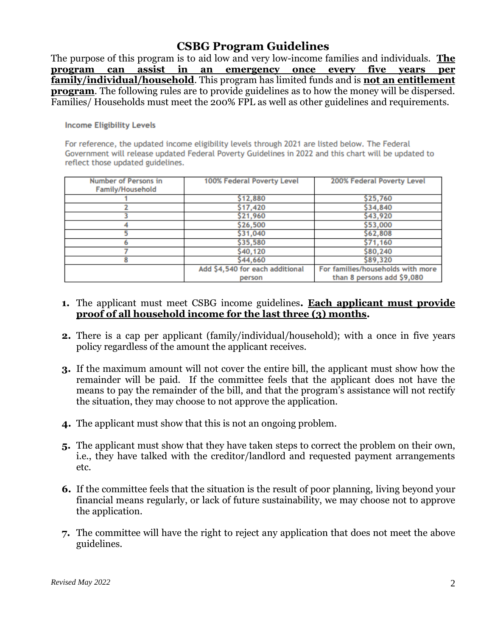#### **CSBG Program Guidelines**

The purpose of this program is to aid low and very low-income families and individuals. **The program can assist in an emergency once every five years per family/individual/household**. This program has limited funds and is **not an entitlement program**. The following rules are to provide guidelines as to how the money will be dispersed. Families/ Households must meet the 200% FPL as well as other guidelines and requirements.

#### **Income Eligibility Levels**

For reference, the updated income eligibility levels through 2021 are listed below. The Federal Government will release updated Federal Poverty Guidelines in 2022 and this chart will be updated to reflect those updated guidelines.

| Number of Persons in    | 100% Federal Poverty Level      | 200% Federal Poverty Level        |  |  |
|-------------------------|---------------------------------|-----------------------------------|--|--|
| <b>Family/Household</b> |                                 |                                   |  |  |
|                         | \$12,880                        | \$25,760                          |  |  |
|                         | \$17,420                        | \$34,840                          |  |  |
|                         | \$21,960                        | \$43,920                          |  |  |
|                         | \$26,500                        | \$53,000                          |  |  |
|                         | \$31,040                        | \$62,808                          |  |  |
|                         | \$35,580                        | \$71,160                          |  |  |
|                         | \$40,120                        | \$80,240                          |  |  |
|                         | \$44,660                        | \$89,320                          |  |  |
|                         | Add \$4,540 for each additional | For families/households with more |  |  |
|                         | person                          | than 8 persons add \$9,080        |  |  |

#### **1.** The applicant must meet CSBG income guidelines**. Each applicant must provide proof of all household income for the last three (3) months.**

- **2.** There is a cap per applicant (family/individual/household); with a once in five years policy regardless of the amount the applicant receives.
- **3.** If the maximum amount will not cover the entire bill, the applicant must show how the remainder will be paid. If the committee feels that the applicant does not have the means to pay the remainder of the bill, and that the program's assistance will not rectify the situation, they may choose to not approve the application.
- **4.** The applicant must show that this is not an ongoing problem.
- **5.** The applicant must show that they have taken steps to correct the problem on their own, i.e., they have talked with the creditor/landlord and requested payment arrangements etc.
- **6.** If the committee feels that the situation is the result of poor planning, living beyond your financial means regularly, or lack of future sustainability, we may choose not to approve the application.
- **7.** The committee will have the right to reject any application that does not meet the above guidelines.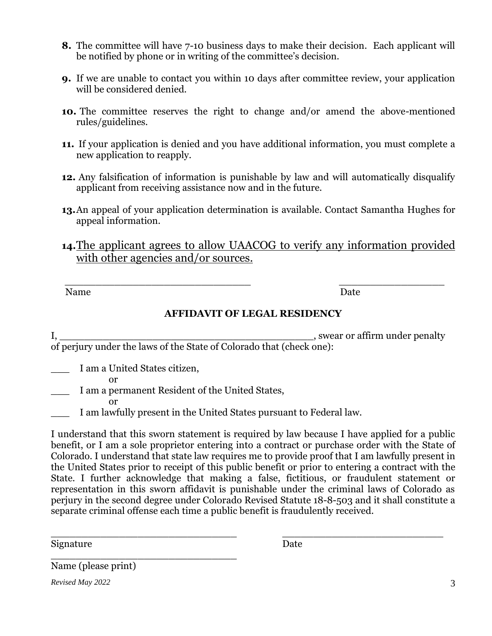- **8.** The committee will have 7-10 business days to make their decision. Each applicant will be notified by phone or in writing of the committee's decision.
- **9.** If we are unable to contact you within 10 days after committee review, your application will be considered denied.
- **10.** The committee reserves the right to change and/or amend the above-mentioned rules/guidelines.
- **11.** If your application is denied and you have additional information, you must complete a new application to reapply.
- **12.** Any falsification of information is punishable by law and will automatically disqualify applicant from receiving assistance now and in the future.
- **13.**An appeal of your application determination is available. Contact Samantha Hughes for appeal information.
- **14.**The applicant agrees to allow UAACOG to verify any information provided with other agencies and/or sources.

 $\overline{\phantom{a}}$  ,  $\overline{\phantom{a}}$  ,  $\overline{\phantom{a}}$  ,  $\overline{\phantom{a}}$  ,  $\overline{\phantom{a}}$  ,  $\overline{\phantom{a}}$  ,  $\overline{\phantom{a}}$  ,  $\overline{\phantom{a}}$  ,  $\overline{\phantom{a}}$  ,  $\overline{\phantom{a}}$  ,  $\overline{\phantom{a}}$  ,  $\overline{\phantom{a}}$  ,  $\overline{\phantom{a}}$  ,  $\overline{\phantom{a}}$  ,  $\overline{\phantom{a}}$  ,  $\overline{\phantom{a}}$ Name Date

#### **AFFIDAVIT OF LEGAL RESIDENCY**

I, swear or affirm under penalty of perjury under the laws of the State of Colorado that (check one):

\_\_\_ I am a United States citizen,

\_\_\_\_\_\_\_\_\_\_\_\_\_\_\_\_\_\_\_\_\_\_\_\_\_\_\_\_\_\_

or

I am a permanent Resident of the United States, or

I am lawfully present in the United States pursuant to Federal law.

I understand that this sworn statement is required by law because I have applied for a public benefit, or I am a sole proprietor entering into a contract or purchase order with the State of Colorado. I understand that state law requires me to provide proof that I am lawfully present in the United States prior to receipt of this public benefit or prior to entering a contract with the State. I further acknowledge that making a false, fictitious, or fraudulent statement or representation in this sworn affidavit is punishable under the criminal laws of Colorado as perjury in the second degree under Colorado Revised Statute 18-8-503 and it shall constitute a separate criminal offense each time a public benefit is fraudulently received.

\_\_\_\_\_\_\_\_\_\_\_\_\_\_\_\_\_\_\_\_\_\_\_\_\_\_\_\_\_\_ \_\_\_\_\_\_\_\_\_\_\_\_\_\_\_\_\_\_\_\_\_\_\_\_\_\_ Signature Date

Name (please print)

*Revised May 2022* 3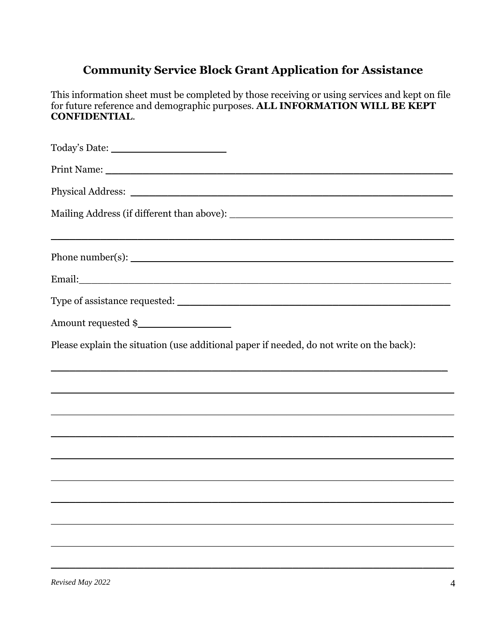## **Community Service Block Grant Application for Assistance**

This information sheet must be completed by those receiving or using services and kept on file<br>for future reference and demographic purposes. ALL INFORMATION WILL BE KEPT **CONFIDENTIAL.** 

| ,我们也不会有什么。""我们的人,我们也不会有什么?""我们的人,我们也不会有什么?""我们的人,我们也不会有什么?""我们的人,我们也不会有什么?""我们的人         |
|------------------------------------------------------------------------------------------|
|                                                                                          |
|                                                                                          |
|                                                                                          |
| Please explain the situation (use additional paper if needed, do not write on the back): |
|                                                                                          |
|                                                                                          |
| ,我们也不会有什么?""我们的人,我们也不会有什么?""我们的人,我们也不会有什么?""我们的人,我们也不会有什么?""我们的人,我们也不会有什么?""我们的人         |
|                                                                                          |
|                                                                                          |
|                                                                                          |
|                                                                                          |
|                                                                                          |
|                                                                                          |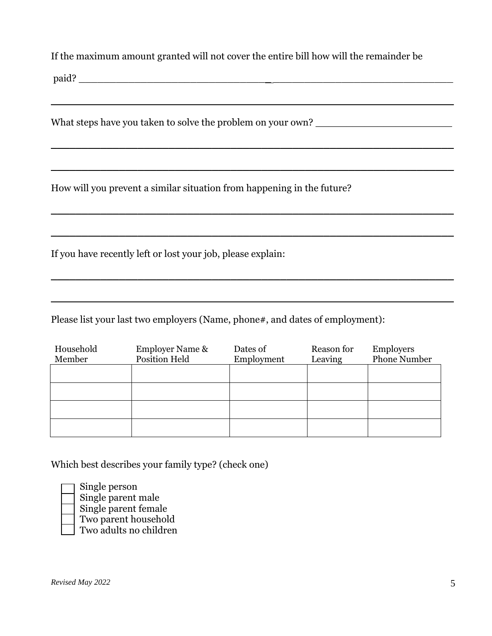If the maximum amount granted will not cover the entire bill how will the remainder be

 $\overline{\phantom{a}}$  , and the contract of the contract of the contract of the contract of the contract of the contract of the contract of the contract of the contract of the contract of the contract of the contract of the contrac

 $\overline{\phantom{a}}$  , and the contract of the contract of the contract of the contract of the contract of the contract of the contract of the contract of the contract of the contract of the contract of the contract of the contrac

 $\mathcal{L}_\text{max}$  and  $\mathcal{L}_\text{max}$  and  $\mathcal{L}_\text{max}$  and  $\mathcal{L}_\text{max}$  and  $\mathcal{L}_\text{max}$  and  $\mathcal{L}_\text{max}$ 

 $\overline{\phantom{a}}$  , and the contract of the contract of the contract of the contract of the contract of the contract of the contract of the contract of the contract of the contract of the contract of the contract of the contrac

 $\overline{\phantom{a}}$  , and the contract of the contract of the contract of the contract of the contract of the contract of the contract of the contract of the contract of the contract of the contract of the contract of the contrac

 $\overline{\phantom{a}}$  , and the contract of the contract of the contract of the contract of the contract of the contract of the contract of the contract of the contract of the contract of the contract of the contract of the contrac

 $\mathcal{L}_\text{max}$  and  $\mathcal{L}_\text{max}$  and  $\mathcal{L}_\text{max}$  and  $\mathcal{L}_\text{max}$  and  $\mathcal{L}_\text{max}$  and  $\mathcal{L}_\text{max}$ 

paid? \_\_\_\_\_\_\_\_\_\_\_\_\_\_\_\_\_\_\_\_\_\_\_\_\_\_\_\_\_\_\_ \_\_\_\_\_\_\_\_\_\_\_\_\_\_\_\_\_\_\_\_\_\_\_\_\_\_\_\_\_

What steps have you taken to solve the problem on your own? \_\_\_\_\_\_\_\_\_\_\_\_\_\_\_\_\_\_\_\_\_

How will you prevent a similar situation from happening in the future?

If you have recently left or lost your job, please explain:

Please list your last two employers (Name, phone#, and dates of employment):

| Household | <b>Employer Name &amp;</b> | Dates of   | Reason for | Employers           |  |
|-----------|----------------------------|------------|------------|---------------------|--|
| Member    | Position Held              | Employment | Leaving    | <b>Phone Number</b> |  |
|           |                            |            |            |                     |  |
|           |                            |            |            |                     |  |
|           |                            |            |            |                     |  |
|           |                            |            |            |                     |  |
|           |                            |            |            |                     |  |
|           |                            |            |            |                     |  |
|           |                            |            |            |                     |  |
|           |                            |            |            |                     |  |

Which best describes your family type? (check one)

Single person Single parent male Single parent female Two parent household Two adults no children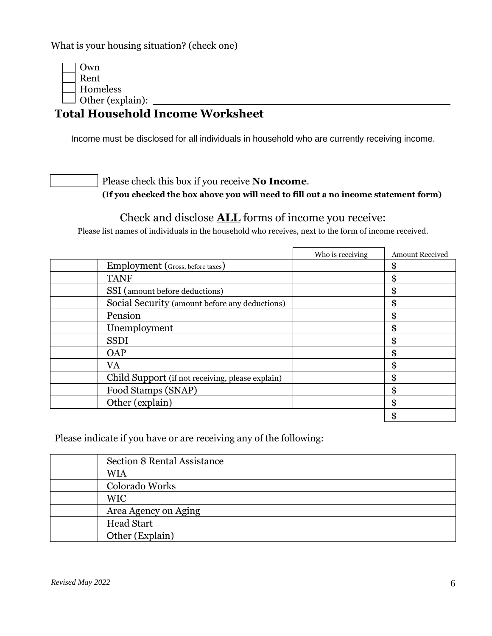What is your housing situation? (check one)

Own Rent Homeless Other (explain):  $\frac{1}{\sqrt{1-\frac{1}{2}}\sqrt{1-\frac{1}{2}}\sqrt{1-\frac{1}{2}}\sqrt{1-\frac{1}{2}}\sqrt{1-\frac{1}{2}}\sqrt{1-\frac{1}{2}}\sqrt{1-\frac{1}{2}}\sqrt{1-\frac{1}{2}}\sqrt{1-\frac{1}{2}}\sqrt{1-\frac{1}{2}}\sqrt{1-\frac{1}{2}}\sqrt{1-\frac{1}{2}}\sqrt{1-\frac{1}{2}}\sqrt{1-\frac{1}{2}}\sqrt{1-\frac{1}{2}}\sqrt{1-\frac{1}{2}}\sqrt{1-\frac{1}{2}}\sqrt{1-\frac{1}{2}}$ 

## **Total Household Income Worksheet**

Income must be disclosed for all individuals in household who are currently receiving income.

Please check this box if you receive **No Income**.

**(If you checked the box above you will need to fill out a no income statement form)**

### Check and disclose **ALL** forms of income you receive:

Please list names of individuals in the household who receives, next to the form of income received.

|                                                  | Who is receiving | <b>Amount Received</b> |
|--------------------------------------------------|------------------|------------------------|
| Employment (Gross, before taxes)                 |                  | \$                     |
| <b>TANF</b>                                      |                  | Φ<br>ъ.                |
| SSI (amount before deductions)                   |                  | \$                     |
| Social Security (amount before any deductions)   |                  | \$                     |
| Pension                                          |                  | Φ<br>ה                 |
| Unemployment                                     |                  | \$                     |
| <b>SSDI</b>                                      |                  | \$                     |
| <b>OAP</b>                                       |                  | Φ                      |
| VA                                               |                  | \$                     |
| Child Support (if not receiving, please explain) |                  | œ<br>æ                 |
| Food Stamps (SNAP)                               |                  | ጦ                      |
| Other (explain)                                  |                  | \$                     |
|                                                  |                  | ጦ                      |

Please indicate if you have or are receiving any of the following:

| Section 8 Rental Assistance |
|-----------------------------|
| <b>WIA</b>                  |
| Colorado Works              |
| <b>WIC</b>                  |
| Area Agency on Aging        |
| <b>Head Start</b>           |
| Other (Explain)             |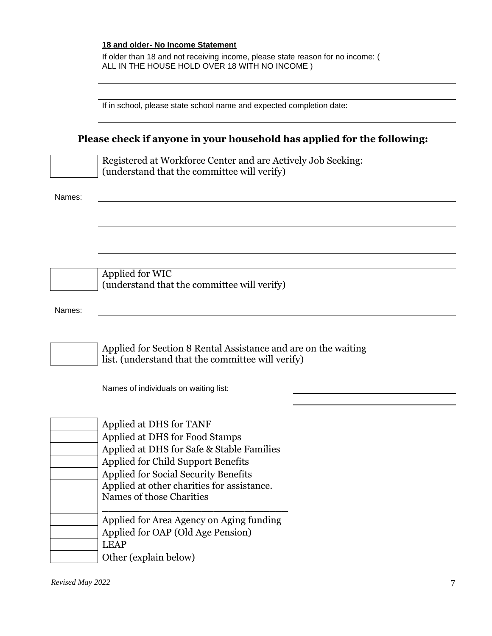#### **18 and older- No Income Statement**

If older than 18 and not receiving income, please state reason for no income: ( ALL IN THE HOUSE HOLD OVER 18 WITH NO INCOME )

|        | If in school, please state school name and expected completion date:                                                                                                                                                                                                  |  |  |  |  |
|--------|-----------------------------------------------------------------------------------------------------------------------------------------------------------------------------------------------------------------------------------------------------------------------|--|--|--|--|
|        | Please check if anyone in your household has applied for the following:                                                                                                                                                                                               |  |  |  |  |
|        | Registered at Workforce Center and are Actively Job Seeking:<br>(understand that the committee will verify)                                                                                                                                                           |  |  |  |  |
| Names: |                                                                                                                                                                                                                                                                       |  |  |  |  |
|        |                                                                                                                                                                                                                                                                       |  |  |  |  |
|        |                                                                                                                                                                                                                                                                       |  |  |  |  |
|        | Applied for WIC<br>(understand that the committee will verify)                                                                                                                                                                                                        |  |  |  |  |
| Names: |                                                                                                                                                                                                                                                                       |  |  |  |  |
|        | Applied for Section 8 Rental Assistance and are on the waiting<br>list. (understand that the committee will verify)                                                                                                                                                   |  |  |  |  |
|        | Names of individuals on waiting list:                                                                                                                                                                                                                                 |  |  |  |  |
|        | Applied at DHS for TANF<br>Applied at DHS for Food Stamps<br>Applied at DHS for Safe & Stable Families<br>Applied for Child Support Benefits<br><b>Applied for Social Security Benefits</b><br>Applied at other charities for assistance.<br>Names of those Charities |  |  |  |  |
|        | Applied for Area Agency on Aging funding<br>Applied for OAP (Old Age Pension)<br><b>LEAP</b><br>Other (explain below)                                                                                                                                                 |  |  |  |  |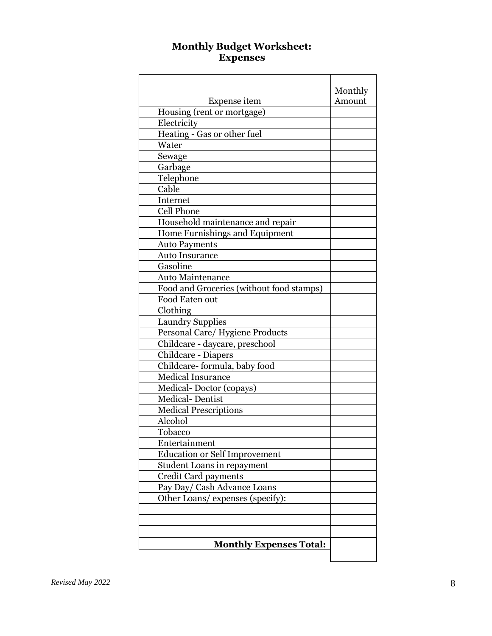#### **Monthly Budget Worksheet: Expenses**

|                                          | Monthly |
|------------------------------------------|---------|
| Expense item                             | Amount  |
| Housing (rent or mortgage)               |         |
| Electricity                              |         |
| Heating - Gas or other fuel              |         |
| Water                                    |         |
| Sewage                                   |         |
| Garbage                                  |         |
| Telephone                                |         |
| Cable                                    |         |
| Internet                                 |         |
| Cell Phone                               |         |
| Household maintenance and repair         |         |
| Home Furnishings and Equipment           |         |
| <b>Auto Payments</b>                     |         |
| <b>Auto Insurance</b>                    |         |
| Gasoline                                 |         |
| <b>Auto Maintenance</b>                  |         |
| Food and Groceries (without food stamps) |         |
| Food Eaten out                           |         |
| Clothing                                 |         |
| <b>Laundry Supplies</b>                  |         |
| Personal Care/ Hygiene Products          |         |
| Childcare - daycare, preschool           |         |
| Childcare - Diapers                      |         |
| Childcare-formula, baby food             |         |
| <b>Medical Insurance</b>                 |         |
| Medical-Doctor (copays)                  |         |
| <b>Medical-Dentist</b>                   |         |
| <b>Medical Prescriptions</b>             |         |
| Alcohol                                  |         |
| Tobacco                                  |         |
| Entertainment                            |         |
| <b>Education or Self Improvement</b>     |         |
| <b>Student Loans in repayment</b>        |         |
| Credit Card payments                     |         |
| Pay Day/ Cash Advance Loans              |         |
| Other Loans/ expenses (specify):         |         |
|                                          |         |
|                                          |         |
|                                          |         |
| <b>Monthly Expenses Total:</b>           |         |
|                                          |         |